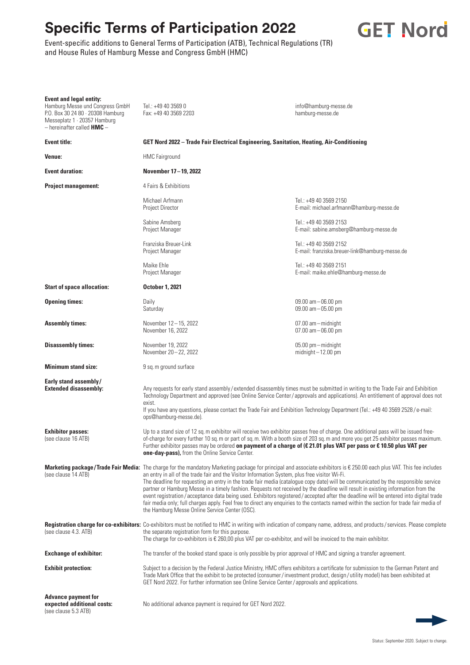## **Specific Terms of Participation 2022**





| <b>Event and legal entity:</b><br>Hamburg Messe und Congress GmbH<br>P.O. Box 30 24 80 · 20308 Hamburg<br>Messeplatz 1 · 20357 Hamburg<br>$-$ hereinafter called <b>HMC</b> $-$ | Tel.: +49 40 3569 0<br>Fax: +49 40 3569 2203                                                                                                                                                                                                                                                                                                                                                                                                                                                                                                                                                                                                                                                                                                                                                                                                                                           | info@hamburg-messe.de<br>hamburg-messe.de                                |
|---------------------------------------------------------------------------------------------------------------------------------------------------------------------------------|----------------------------------------------------------------------------------------------------------------------------------------------------------------------------------------------------------------------------------------------------------------------------------------------------------------------------------------------------------------------------------------------------------------------------------------------------------------------------------------------------------------------------------------------------------------------------------------------------------------------------------------------------------------------------------------------------------------------------------------------------------------------------------------------------------------------------------------------------------------------------------------|--------------------------------------------------------------------------|
| <b>Event title:</b>                                                                                                                                                             | GET Nord 2022 - Trade Fair Electrical Engineering, Sanitation, Heating, Air-Conditioning                                                                                                                                                                                                                                                                                                                                                                                                                                                                                                                                                                                                                                                                                                                                                                                               |                                                                          |
| Venue:                                                                                                                                                                          | <b>HMC</b> Fairground                                                                                                                                                                                                                                                                                                                                                                                                                                                                                                                                                                                                                                                                                                                                                                                                                                                                  |                                                                          |
| <b>Event duration:</b>                                                                                                                                                          | November 17-19, 2022                                                                                                                                                                                                                                                                                                                                                                                                                                                                                                                                                                                                                                                                                                                                                                                                                                                                   |                                                                          |
| <b>Project management:</b>                                                                                                                                                      | 4 Fairs & Exhibitions                                                                                                                                                                                                                                                                                                                                                                                                                                                                                                                                                                                                                                                                                                                                                                                                                                                                  |                                                                          |
|                                                                                                                                                                                 | Michael Arfmann<br>Project Director                                                                                                                                                                                                                                                                                                                                                                                                                                                                                                                                                                                                                                                                                                                                                                                                                                                    | Tel.: +49 40 3569 2150<br>E-mail: michael.arfmann@hamburg-messe.de       |
|                                                                                                                                                                                 | Sabine Amsberg<br>Project Manager                                                                                                                                                                                                                                                                                                                                                                                                                                                                                                                                                                                                                                                                                                                                                                                                                                                      | Tel.: +49 40 3569 2153<br>E-mail: sabine.amsberg@hamburg-messe.de        |
|                                                                                                                                                                                 | Franziska Breuer-Link<br>Project Manager                                                                                                                                                                                                                                                                                                                                                                                                                                                                                                                                                                                                                                                                                                                                                                                                                                               | Tel.: +49 40 3569 2152<br>E-mail: franziska.breuer-link@hamburg-messe.de |
|                                                                                                                                                                                 | Maike Ehle<br>Project Manager                                                                                                                                                                                                                                                                                                                                                                                                                                                                                                                                                                                                                                                                                                                                                                                                                                                          | Tel.: +49 40 3569 2151<br>E-mail: maike.ehle@hamburg-messe.de            |
| <b>Start of space allocation:</b>                                                                                                                                               | <b>October 1, 2021</b>                                                                                                                                                                                                                                                                                                                                                                                                                                                                                                                                                                                                                                                                                                                                                                                                                                                                 |                                                                          |
| <b>Opening times:</b>                                                                                                                                                           | Daily<br>Saturday                                                                                                                                                                                                                                                                                                                                                                                                                                                                                                                                                                                                                                                                                                                                                                                                                                                                      | 09.00 am - 06.00 pm<br>09.00 am - 05.00 pm                               |
| <b>Assembly times:</b>                                                                                                                                                          | November 12-15, 2022<br>November 16, 2022                                                                                                                                                                                                                                                                                                                                                                                                                                                                                                                                                                                                                                                                                                                                                                                                                                              | 07.00 am-midnight<br>$07.00$ am $-06.00$ pm                              |
| <b>Disassembly times:</b>                                                                                                                                                       | November 19, 2022<br>November 20-22, 2022                                                                                                                                                                                                                                                                                                                                                                                                                                                                                                                                                                                                                                                                                                                                                                                                                                              | 05.00 pm - midnight<br>$midinit - 12.00$ pm                              |
| <b>Minimum stand size:</b>                                                                                                                                                      | 9 sq. m ground surface                                                                                                                                                                                                                                                                                                                                                                                                                                                                                                                                                                                                                                                                                                                                                                                                                                                                 |                                                                          |
| Early stand assembly/<br><b>Extended disassembly:</b>                                                                                                                           | Any requests for early stand assembly/extended disassembly times must be submitted in writing to the Trade Fair and Exhibition<br>Technology Department and approved (see Online Service Center/approvals and applications). An entitlement of approval does not<br>exist.<br>If you have any questions, please contact the Trade Fair and Exhibition Technology Department (Tel.: +49 40 3569 2528/e-mail:<br>ops@hamburg-messe.de).                                                                                                                                                                                                                                                                                                                                                                                                                                                  |                                                                          |
| <b>Exhibitor passes:</b><br>(see clause 16 ATB)                                                                                                                                 | Up to a stand size of 12 sq. m exhibitor will receive two exhibitor passes free of charge. One additional pass will be issued free-<br>of-charge for every further 10 sq. m or part of sq. m. With a booth size of 203 sq. m and more you get 25 exhibitor passes maximum.<br>Further exhibitor passes may be ordered on payment of a charge of ( $\epsilon$ 21.01 plus VAT per pass or $\epsilon$ 10.50 plus VAT per<br>one-day-pass), from the Online Service Center.                                                                                                                                                                                                                                                                                                                                                                                                                |                                                                          |
| (see clause 14 ATB)                                                                                                                                                             | Marketing package/Trade Fair Media: The charge for the mandatory Marketing package for principal and associate exhibitors is € 250.00 each plus VAT. This fee includes<br>an entry in all of the trade fair and the Visitor Information System, plus free visitor Wi-Fi.<br>The deadline for requesting an entry in the trade fair media (catalogue copy date) will be communicated by the responsible service<br>partner or Hamburg Messe in a timely fashion. Requests not received by the deadline will result in existing information from the<br>event registration/acceptance data being used. Exhibitors registered/accepted after the deadline will be entered into digital trade<br>fair media only; full charges apply. Feel free to direct any enquiries to the contacts named within the section for trade fair media of<br>the Hamburg Messe Online Service Center (OSC). |                                                                          |
| (see clause 4.3. ATB)                                                                                                                                                           | Registration charge for co-exhibitors: Co-exhibitors must be notified to HMC in writing with indication of company name, address, and products/services. Please complete<br>the separate registration form for this purpose.<br>The charge for co-exhibitors is $\epsilon$ 260,00 plus VAT per co-exhibitor, and will be invoiced to the main exhibitor.                                                                                                                                                                                                                                                                                                                                                                                                                                                                                                                               |                                                                          |
| <b>Exchange of exhibitor:</b>                                                                                                                                                   | The transfer of the booked stand space is only possible by prior approval of HMC and signing a transfer agreement.                                                                                                                                                                                                                                                                                                                                                                                                                                                                                                                                                                                                                                                                                                                                                                     |                                                                          |
| <b>Exhibit protection:</b>                                                                                                                                                      | Subject to a decision by the Federal Justice Ministry, HMC offers exhibitors a certificate for submission to the German Patent and<br>Trade Mark Office that the exhibit to be protected (consumer/investment product, design/utility model) has been exhibited at<br>GET Nord 2022. For further information see Online Service Center/approvals and applications.                                                                                                                                                                                                                                                                                                                                                                                                                                                                                                                     |                                                                          |
| <b>Advance payment for</b><br>expected additional costs:<br>(see clause 5.3 ATB)                                                                                                | No additional advance payment is required for GET Nord 2022.                                                                                                                                                                                                                                                                                                                                                                                                                                                                                                                                                                                                                                                                                                                                                                                                                           |                                                                          |